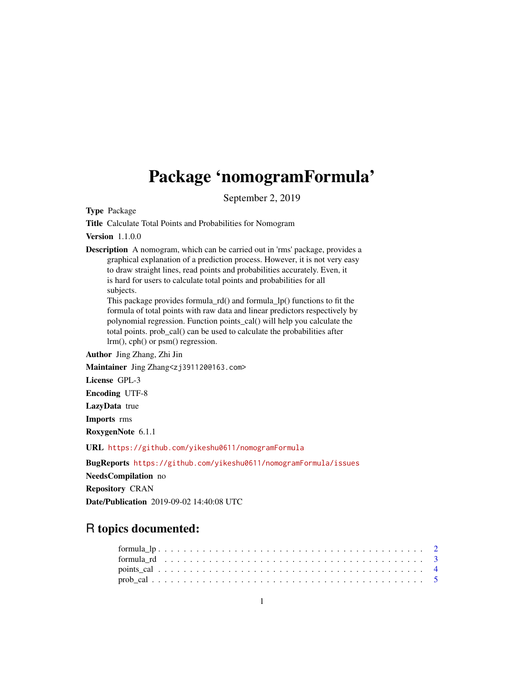## Package 'nomogramFormula'

September 2, 2019

Type Package

Title Calculate Total Points and Probabilities for Nomogram

Version 1.1.0.0

Description A nomogram, which can be carried out in 'rms' package, provides a graphical explanation of a prediction process. However, it is not very easy to draw straight lines, read points and probabilities accurately. Even, it is hard for users to calculate total points and probabilities for all subjects.

This package provides formula\_rd() and formula\_lp() functions to fit the formula of total points with raw data and linear predictors respectively by polynomial regression. Function points\_cal() will help you calculate the total points. prob\_cal() can be used to calculate the probabilities after lrm(), cph() or psm() regression.

Author Jing Zhang, Zhi Jin

Maintainer Jing Zhang<zj391120@163.com>

License GPL-3

Encoding UTF-8

LazyData true

Imports rms

RoxygenNote 6.1.1

URL <https://github.com/yikeshu0611/nomogramFormula>

BugReports <https://github.com/yikeshu0611/nomogramFormula/issues>

NeedsCompilation no Repository CRAN Date/Publication 2019-09-02 14:40:08 UTC

### R topics documented: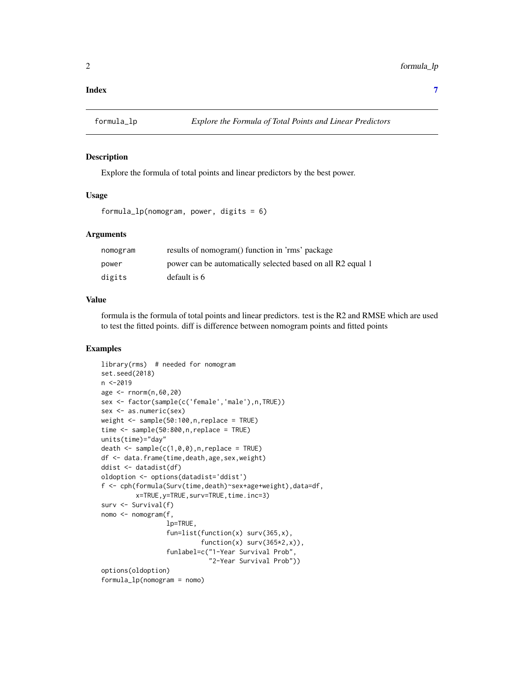#### <span id="page-1-0"></span>**Index** [7](#page-6-0) **7**

#### Description

Explore the formula of total points and linear predictors by the best power.

#### Usage

formula\_lp(nomogram, power, digits = 6)

#### Arguments

| nomogram | results of nomogram() function in 'rms' package             |
|----------|-------------------------------------------------------------|
| power    | power can be automatically selected based on all R2 equal 1 |
| digits   | default is 6                                                |

#### Value

formula is the formula of total points and linear predictors. test is the R2 and RMSE which are used to test the fitted points. diff is difference between nomogram points and fitted points

#### Examples

```
library(rms) # needed for nomogram
set.seed(2018)
n <-2019
age <- rnorm(n,60,20)
sex <- factor(sample(c('female','male'),n,TRUE))
sex <- as.numeric(sex)
weight <- sample(50:100,n,replace = TRUE)
time <- sample(50:800,n,replace = TRUE)
units(time)="day"
death \leq sample(c(1,0,0),n,replace = TRUE)
df <- data.frame(time,death,age,sex,weight)
ddist <- datadist(df)
oldoption <- options(datadist='ddist')
f <- cph(formula(Surv(time,death)~sex+age+weight),data=df,
         x=TRUE,y=TRUE,surv=TRUE,time.inc=3)
surv <- Survival(f)
nomo <- nomogram(f,
                 lp=TRUE,
                 fun=list(function(x) surv(365,x),
                          function(x) surv(365*2,x)),
                 funlabel=c("1-Year Survival Prob",
                            "2-Year Survival Prob"))
options(oldoption)
formula_lp(nomogram = nomo)
```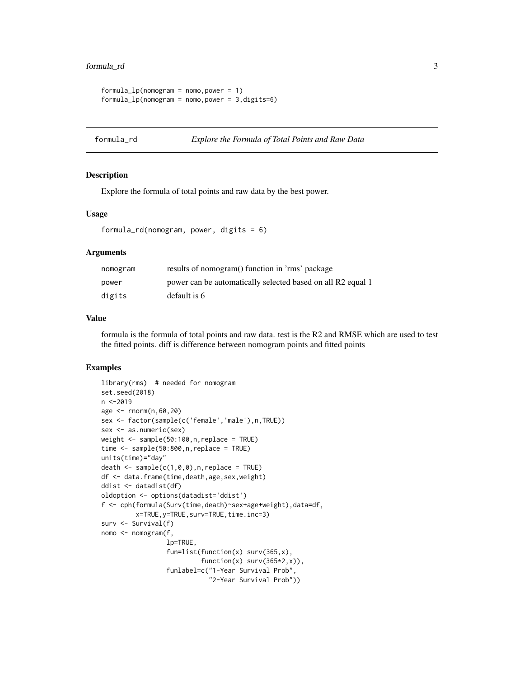#### <span id="page-2-0"></span>formula\_rd 3

```
formula\_lp(nomogram = nomo, power = 1)formula_lp(nomogram = nomo,power = 3,digits=6)
```

```
formula_rd Explore the Formula of Total Points and Raw Data
```
#### Description

Explore the formula of total points and raw data by the best power.

#### Usage

```
formula_rd(nomogram, power, digits = 6)
```
#### Arguments

| nomogram | results of nomogram() function in 'rms' package             |
|----------|-------------------------------------------------------------|
| power    | power can be automatically selected based on all R2 equal 1 |
| digits   | default is 6                                                |

#### Value

formula is the formula of total points and raw data. test is the R2 and RMSE which are used to test the fitted points. diff is difference between nomogram points and fitted points

#### Examples

```
library(rms) # needed for nomogram
set.seed(2018)
n <-2019
age <- rnorm(n,60,20)
sex <- factor(sample(c('female','male'),n,TRUE))
sex <- as.numeric(sex)
weight <- sample(50:100,n,replace = TRUE)
time <- sample(50:800,n,replace = TRUE)
units(time)="day"
death \leq sample(c(1, 0, 0), n, replace = TRUE)
df <- data.frame(time,death,age,sex,weight)
ddist <- datadist(df)
oldoption <- options(datadist='ddist')
f <- cph(formula(Surv(time,death)~sex+age+weight),data=df,
         x=TRUE,y=TRUE,surv=TRUE,time.inc=3)
surv <- Survival(f)
nomo <- nomogram(f,
                 lp=TRUE,
                 fun=list(function(x) surv(365,x),
                          function(x) surv(365*2,x)),
                 funlabel=c("1-Year Survival Prob",
                            "2-Year Survival Prob"))
```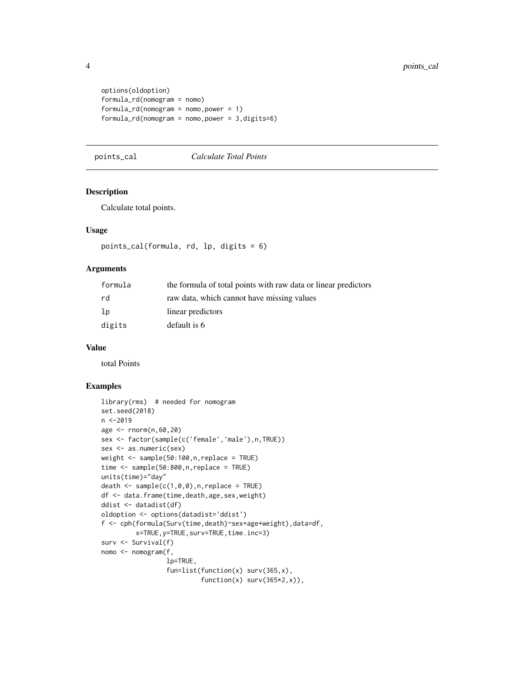```
options(oldoption)
formula_rd(nomogram = nomo)
formula_rd(nomogram = nomo,power = 1)
formula_r d(nomogram = nomo, power = 3, digits=6)
```
#### points\_cal *Calculate Total Points*

#### Description

Calculate total points.

#### Usage

```
points_cal(formula, rd, lp, digits = 6)
```
#### Arguments

| formula | the formula of total points with raw data or linear predictors |
|---------|----------------------------------------------------------------|
| rd      | raw data, which cannot have missing values                     |
| 1p      | linear predictors                                              |
| digits  | default is 6                                                   |

#### Value

total Points

#### Examples

```
library(rms) # needed for nomogram
set.seed(2018)
n <-2019
age <- rnorm(n,60,20)
sex <- factor(sample(c('female','male'),n,TRUE))
sex <- as.numeric(sex)
weight <- sample(50:100,n,replace = TRUE)
time \leq sample(50:800, n, replace = TRUE)
units(time)="day"
death \leq sample(c(1,0,0),n,replace = TRUE)
df <- data.frame(time,death,age,sex,weight)
ddist <- datadist(df)
oldoption <- options(datadist='ddist')
f <- cph(formula(Surv(time,death)~sex+age+weight),data=df,
         x=TRUE,y=TRUE,surv=TRUE,time.inc=3)
surv <- Survival(f)
nomo <- nomogram(f,
                 lp=TRUE,
                 fun=list(function(x) surv(365,x),
                          function(x) surv(365*2, x)),
```
<span id="page-3-0"></span>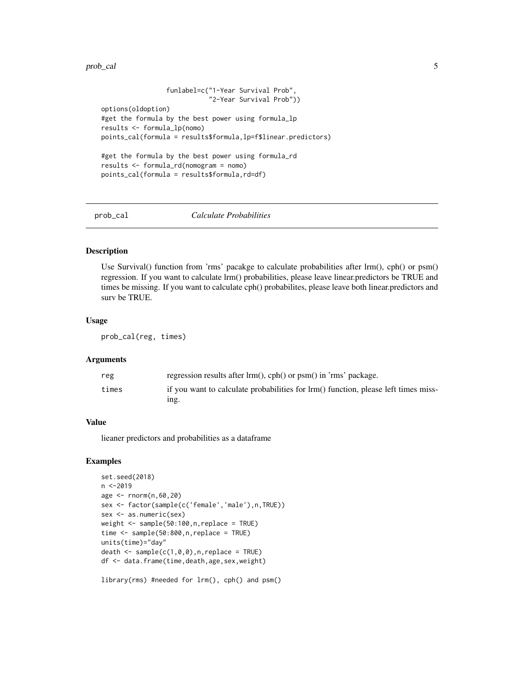#### <span id="page-4-0"></span>prob\_cal 5

funlabel=c("1-Year Survival Prob", "2-Year Survival Prob")) options(oldoption) #get the formula by the best power using formula\_lp results <- formula\_lp(nomo) points\_cal(formula = results\$formula,lp=f\$linear.predictors) #get the formula by the best power using formula\_rd results <- formula\_rd(nomogram = nomo) points\_cal(formula = results\$formula,rd=df)

prob\_cal *Calculate Probabilities*

#### Description

Use Survival() function from 'rms' pacakge to calculate probabilities after lrm(), cph() or psm() regression. If you want to calculate lrm() probabilities, please leave linear.predictors be TRUE and times be missing. If you want to calculate cph() probabilites, please leave both linear.predictors and surv be TRUE.

#### Usage

prob\_cal(reg, times)

#### Arguments

| reg   | regression results after $lrm(m)$ , cph() or psm() in 'rms' package.               |
|-------|------------------------------------------------------------------------------------|
| times | if you want to calculate probabilities for lrm() function, please left times miss- |
|       | ing.                                                                               |

#### Value

lieaner predictors and probabilities as a dataframe

#### Examples

```
set.seed(2018)
n <-2019
age <- rnorm(n,60,20)
sex <- factor(sample(c('female','male'),n,TRUE))
sex <- as.numeric(sex)
weight <- sample(50:100,n,replace = TRUE)
time <- sample(50:800,n,replace = TRUE)
units(time)="day"
death \leq sample(c(1, 0, 0), n, replace = TRUE)
df <- data.frame(time,death,age,sex,weight)
```
library(rms) #needed for lrm(), cph() and psm()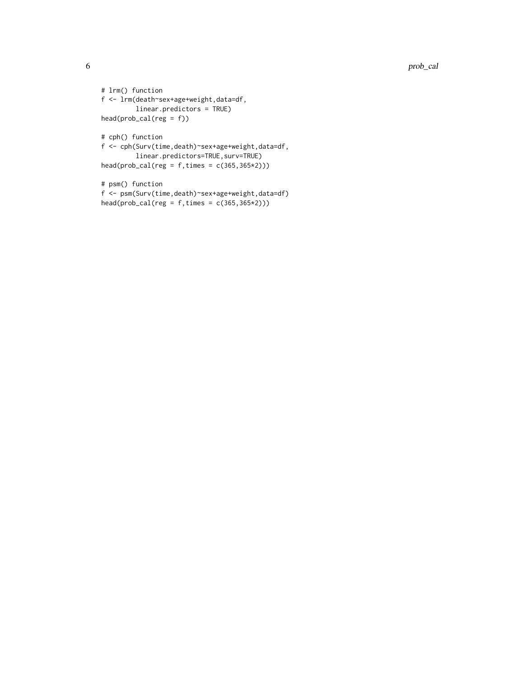```
# lrm() function
f <- lrm(death~sex+age+weight,data=df,
         linear.predictors = TRUE)
head(prob\_cal(reg = f))# cph() function
f <- cph(Surv(time,death)~sex+age+weight,data=df,
         linear.predictors=TRUE,surv=TRUE)
head(prob\_cal(reg = f, times = c(365, 365*2)))# psm() function
f <- psm(Surv(time,death)~sex+age+weight,data=df)
head(prob\_cal(reg = f, times = c(365, 365 \star 2)))
```